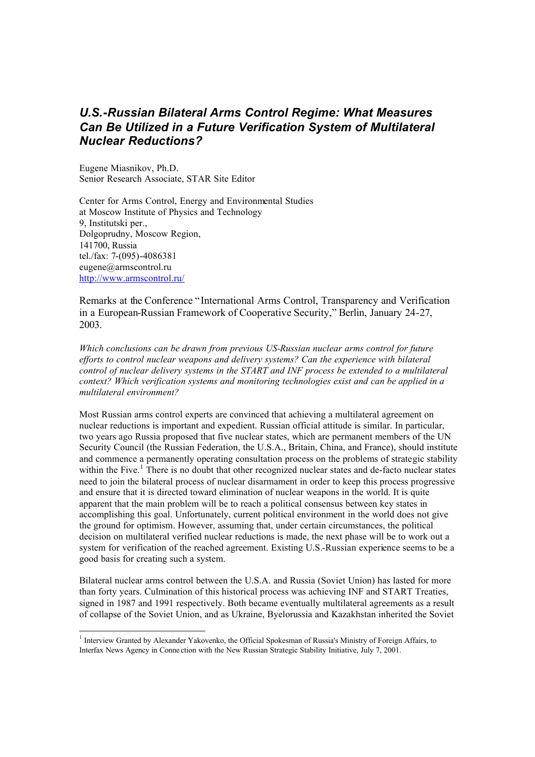## *U.S.-Russian Bilateral Arms Control Regime: What Measures Can Be Utilized in a Future Verification System of Multilateral Nuclear Reductions?*

Eugene Miasnikov, Ph.D. Senior Research Associate, STAR Site Editor

j

Center for Arms Control, Energy and Environmental Studies at Moscow Institute of Physics and Technology 9, Institutski per., Dolgoprudny, Moscow Region, 141700, Russia tel./fax: 7-(095)-4086381 eugene@armscontrol.ru http://www.armscontrol.ru/

Remarks at the Conference "International Arms Control, Transparency and Verification in a European-Russian Framework of Cooperative Security," Berlin, January 24-27, 2003.

*Which conclusions can be drawn from previous US-Russian nuclear arms control for future efforts to control nuclear weapons and delivery systems? Can the experience with bilateral control of nuclear delivery systems in the START and INF process be extended to a multilateral context? Which verification systems and monitoring technologies exist and can be applied in a multilateral environment?*

Most Russian arms control experts are convinced that achieving a multilateral agreement on nuclear reductions is important and expedient. Russian official attitude is similar. In particular, two years ago Russia proposed that five nuclear states, which are permanent members of the UN Security Council (the Russian Federation, the U.S.A., Britain, China, and France), should institute and commence a permanently operating consultation process on the problems of strategic stability within the Five.<sup>1</sup> There is no doubt that other recognized nuclear states and de-facto nuclear states need to join the bilateral process of nuclear disarmament in order to keep this process progressive and ensure that it is directed toward elimination of nuclear weapons in the world. It is quite apparent that the main problem will be to reach a political consensus between key states in accomplishing this goal. Unfortunately, current political environment in the world does not give the ground for optimism. However, assuming that, under certain circumstances, the political decision on multilateral verified nuclear reductions is made, the next phase will be to work out a system for verification of the reached agreement. Existing U.S.-Russian experience seems to be a good basis for creating such a system.

Bilateral nuclear arms control between the U.S.A. and Russia (Soviet Union) has lasted for more than forty years. Culmination of this historical process was achieving INF and START Treaties, signed in 1987 and 1991 respectively. Both became eventually multilateral agreements as a result of collapse of the Soviet Union, and as Ukraine, Byelorussia and Kazakhstan inherited the Soviet

<sup>&</sup>lt;sup>1</sup> Interview Granted by Alexander Yakovenko, the Official Spokesman of Russia's Ministry of Foreign Affairs, to Interfax News Agency in Conne ction with the New Russian Strategic Stability Initiative, July 7, 2001.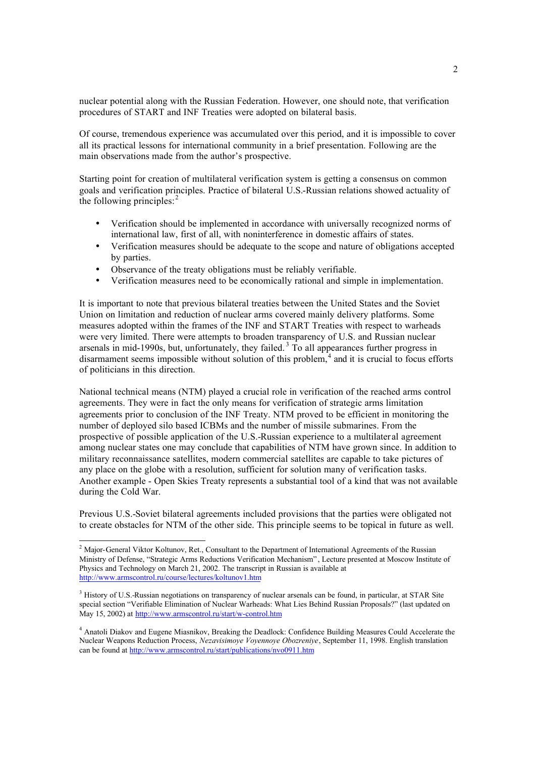nuclear potential along with the Russian Federation. However, one should note, that verification procedures of START and INF Treaties were adopted on bilateral basis.

Of course, tremendous experience was accumulated over this period, and it is impossible to cover all its practical lessons for international community in a brief presentation. Following are the main observations made from the author's prospective.

Starting point for creation of multilateral verification system is getting a consensus on common goals and verification principles. Practice of bilateral U.S.-Russian relations showed actuality of the following principles: $<sup>2</sup>$ </sup>

- Verification should be implemented in accordance with universally recognized norms of international law, first of all, with noninterference in domestic affairs of states.
- Verification measures should be adequate to the scope and nature of obligations accepted by parties.
- Observance of the treaty obligations must be reliably verifiable.
- Verification measures need to be economically rational and simple in implementation.

It is important to note that previous bilateral treaties between the United States and the Soviet Union on limitation and reduction of nuclear arms covered mainly delivery platforms. Some measures adopted within the frames of the INF and START Treaties with respect to warheads were very limited. There were attempts to broaden transparency of U.S. and Russian nuclear arsenals in mid-1990s, but, unfortunately, they failed.<sup>3</sup> To all appearances further progress in disarmament seems impossible without solution of this problem, $4$  and it is crucial to focus efforts of politicians in this direction.

National technical means (NTM) played a crucial role in verification of the reached arms control agreements. They were in fact the only means for verification of strategic arms limitation agreements prior to conclusion of the INF Treaty. NTM proved to be efficient in monitoring the number of deployed silo based ICBMs and the number of missile submarines. From the prospective of possible application of the U.S.-Russian experience to a multilater al agreement among nuclear states one may conclude that capabilities of NTM have grown since. In addition to military reconnaissance satellites, modern commercial satellites are capable to take pictures of any place on the globe with a resolution, sufficient for solution many of verification tasks. Another example - Open Skies Treaty represents a substantial tool of a kind that was not available during the Cold War.

Previous U.S.-Soviet bilateral agreements included provisions that the parties were obligated not to create obstacles for NTM of the other side. This principle seems to be topical in future as well.

<sup>&</sup>lt;sup>2</sup> Major-General Viktor Koltunov, Ret., Consultant to the Department of International Agreements of the Russian Ministry of Defense, "Strategic Arms Reductions Verification Mechanism" , Lecture presented at Moscow Institute of Physics and Technology on March 21, 2002. The transcript in Russian is available at http://www.armscontrol.ru/course/lectures/koltunov1.htm

<sup>&</sup>lt;sup>3</sup> History of U.S.-Russian negotiations on transparency of nuclear arsenals can be found, in particular, at STAR Site special section "Verifiable Elimination of Nuclear Warheads: What Lies Behind Russian Proposals?" (last updated on May 15, 2002) at http://www.armscontrol.ru/start/w-control.htm

<sup>&</sup>lt;sup>4</sup> Anatoli Diakov and Eugene Miasnikov, Breaking the Deadlock: Confidence Building Measures Could Accelerate the Nuclear Weapons Reduction Process, *Nezavisimoye Voyennoye Obozreniye*, September 11, 1998. English translation can be found at http://www.armscontrol.ru/start/publications/nvo0911.htm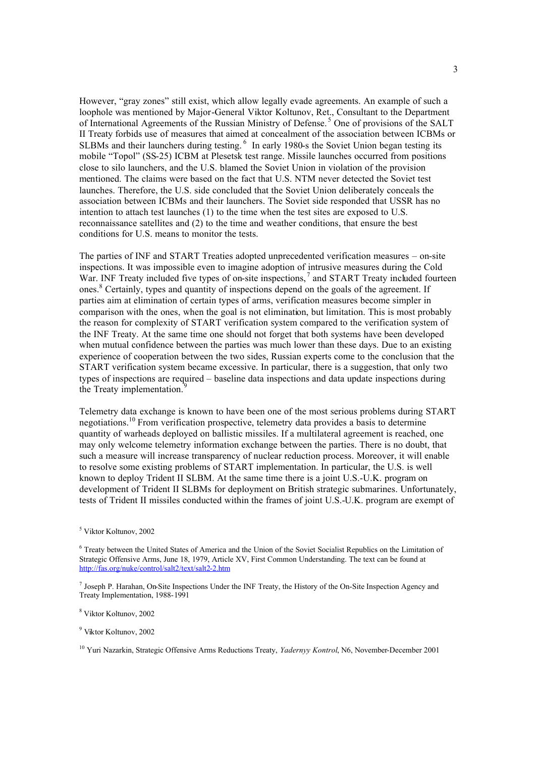However, "gray zones" still exist, which allow legally evade agreements. An example of such a loophole was mentioned by Major-General Viktor Koltunov, Ret., Consultant to the Department of International Agreements of the Russian Ministry of Defense.<sup>5</sup> One of provisions of the SALT II Treaty forbids use of measures that aimed at concealment of the association between ICBMs or SLBMs and their launchers during testing.<sup>6</sup> In early 1980-s the Soviet Union began testing its mobile "Topol" (SS-25) ICBM at Plesetsk test range. Missile launches occurred from positions close to silo launchers, and the U.S. blamed the Soviet Union in violation of the provision mentioned. The claims were based on the fact that U.S. NTM never detected the Soviet test launches. Therefore, the U.S. side concluded that the Soviet Union deliberately conceals the association between ICBMs and their launchers. The Soviet side responded that USSR has no intention to attach test launches (1) to the time when the test sites are exposed to U.S. reconnaissance satellites and (2) to the time and weather conditions, that ensure the best conditions for U.S. means to monitor the tests.

The parties of INF and START Treaties adopted unprecedented verification measures – on-site inspections. It was impossible even to imagine adoption of intrusive measures during the Cold War. INF Treaty included five types of on-site inspections,<sup>7</sup> and START Treaty included fourteen ones.<sup>8</sup> Certainly, types and quantity of inspections depend on the goals of the agreement. If parties aim at elimination of certain types of arms, verification measures become simpler in comparison with the ones, when the goal is not elimination, but limitation. This is most probably the reason for complexity of START verification system compared to the verification system of the INF Treaty. At the same time one should not forget that both systems have been developed when mutual confidence between the parties was much lower than these days. Due to an existing experience of cooperation between the two sides, Russian experts come to the conclusion that the START verification system became excessive. In particular, there is a suggestion, that only two types of inspections are required – baseline data inspections and data update inspections during the Treaty implementation.<sup>9</sup>

Telemetry data exchange is known to have been one of the most serious problems during START negotiations.<sup>10</sup> From verification prospective, telemetry data provides a basis to determine quantity of warheads deployed on ballistic missiles. If a multilateral agreement is reached, one may only welcome telemetry information exchange between the parties. There is no doubt, that such a measure will increase transparency of nuclear reduction process. Moreover, it will enable to resolve some existing problems of START implementation. In particular, the U.S. is well known to deploy Trident II SLBM. At the same time there is a joint U.S.-U.K. program on development of Trident II SLBMs for deployment on British strategic submarines. Unfortunately, tests of Trident II missiles conducted within the frames of joint U.S.-U.K. program are exempt of

<sup>5</sup> Viktor Koltunov, 2002

<sup>&</sup>lt;sup>6</sup> Treaty between the United States of America and the Union of the Soviet Socialist Republics on the Limitation of Strategic Offensive Arms, June 18, 1979, Article XV, First Common Understanding. The text can be found at http://fas.org/nuke/control/salt2/text/salt2-2.htm

<sup>7</sup> Joseph P. Harahan, On-Site Inspections Under the INF Treaty, the History of the On-Site Inspection Agency and Treaty Implementation, 1988-1991

<sup>8</sup> Viktor Koltunov, 2002

<sup>9</sup> Viktor Koltunov, 2002

<sup>10</sup> Yuri Nazarkin, Strategic Offensive Arms Reductions Treaty, *Yadernyy Kontrol*, N6, November-December 2001